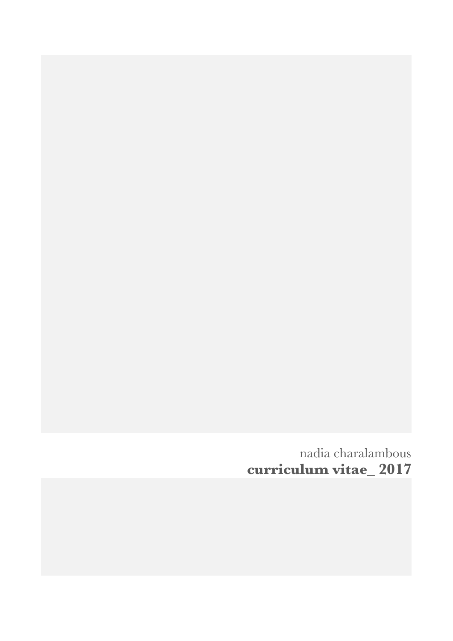nadia charalambous **curriculum vitae\_ 2017**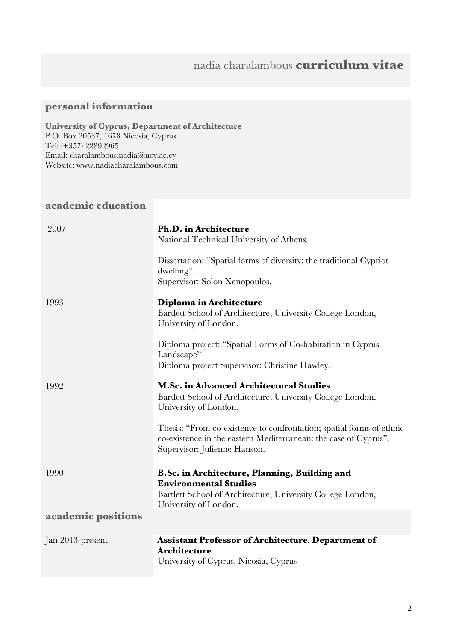# nadia charalambous **curriculum vitae**

## **personal information**

**University of Cyprus, Department of Architecture** P.O. Box 20537, 1678 Nicosia, Cyprus Tel: (+357) 22892965 Email: charalambous.nadia@ucy.ac.cy Website: www.nadiacharalambous.com

## **academic education**

| 2007               | <b>Ph.D.</b> in Architecture<br>National Technical University of Athens.                                                                                                |
|--------------------|-------------------------------------------------------------------------------------------------------------------------------------------------------------------------|
|                    | Dissertation: "Spatial forms of diversity: the traditional Cypriot<br>dwelling".<br>Supervisor: Solon Xenopoulos.                                                       |
| 1993               | Diploma in Architecture<br>Bartlett School of Architecture, University College London,<br>University of London.                                                         |
|                    | Diploma project: "Spatial Forms of Co-habitation in Cyprus<br>Landscape"<br>Diploma project Supervisor: Christine Hawley.                                               |
| 1992               | <b>M.Sc. in Advanced Architectural Studies</b><br>Bartlett School of Architecture, University College London,<br>University of London,                                  |
|                    | Thesis: "From co-existence to confrontation; spatial forms of ethnic<br>co-existence in the eastern Mediterranean: the case of Cyprus".<br>Supervisor: Julienne Hanson. |
| 1990               | B.Sc. in Architecture, Planning, Building and<br><b>Environmental Studies</b><br>Bartlett School of Architecture, University College London,<br>University of London.   |
| academic positions |                                                                                                                                                                         |
| Jan 2013-present   | <b>Assistant Professor of Architecture, Department of</b><br><b>Architecture</b><br>University of Cyprus, Nicosia, Cyprus                                               |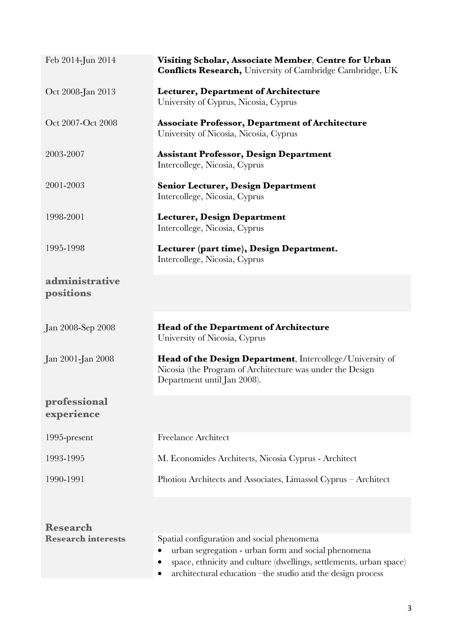| Feb 2014-Jun 2014           | Visiting Scholar, Associate Member, Centre for Urban<br><b>Conflicts Research, University of Cambridge Cambridge, UK</b>                                                                                                              |
|-----------------------------|---------------------------------------------------------------------------------------------------------------------------------------------------------------------------------------------------------------------------------------|
| Oct 2008-Jan 2013           | <b>Lecturer, Department of Architecture</b><br>University of Cyprus, Nicosia, Cyprus                                                                                                                                                  |
| Oct 2007-Oct 2008           | <b>Associate Professor, Department of Architecture</b><br>University of Nicosia, Nicosia, Cyprus                                                                                                                                      |
| 2003-2007                   | <b>Assistant Professor, Design Department</b><br>Intercollege, Nicosia, Cyprus                                                                                                                                                        |
| 2001-2003                   | <b>Senior Lecturer, Design Department</b><br>Intercollege, Nicosia, Cyprus                                                                                                                                                            |
| 1998-2001                   | <b>Lecturer, Design Department</b><br>Intercollege, Nicosia, Cyprus                                                                                                                                                                   |
| 1995-1998                   | Lecturer (part time), Design Department.<br>Intercollege, Nicosia, Cyprus                                                                                                                                                             |
| administrative<br>positions |                                                                                                                                                                                                                                       |
| Jan 2008-Sep 2008           | <b>Head of the Department of Architecture</b><br>University of Nicosia, Cyprus                                                                                                                                                        |
| Jan 2001-Jan 2008           | Head of the Design Department, Intercollege/University of<br>Nicosia (the Program of Architecture was under the Design<br>Department until Jan 2008).                                                                                 |
| professional<br>experience  |                                                                                                                                                                                                                                       |
| 1995-present                | <b>Freelance Architect</b>                                                                                                                                                                                                            |
| 1993-1995                   | M. Economides Architects, Nicosia Cyprus - Architect                                                                                                                                                                                  |
| 1990-1991                   | Photiou Architects and Associates, Limassol Cyprus - Architect                                                                                                                                                                        |
| <b>Research</b>             |                                                                                                                                                                                                                                       |
| <b>Research interests</b>   | Spatial configuration and social phenomena<br>urban segregation - urban form and social phenomena<br>space, ethnicity and culture (dwellings, settlements, urban space)<br>architectural education -the studio and the design process |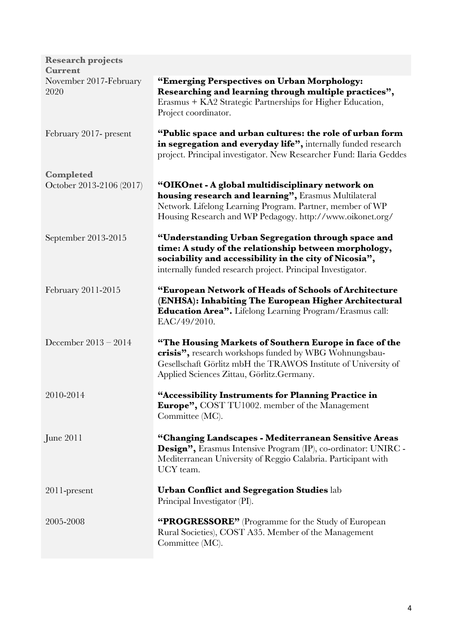| <b>Research projects</b>                     |                                                                                                                                                                                                                                      |
|----------------------------------------------|--------------------------------------------------------------------------------------------------------------------------------------------------------------------------------------------------------------------------------------|
| <b>Current</b>                               |                                                                                                                                                                                                                                      |
| November 2017-February<br>2020               | "Emerging Perspectives on Urban Morphology:<br>Researching and learning through multiple practices",<br>Erasmus + KA2 Strategic Partnerships for Higher Education,<br>Project coordinator.                                           |
| February 2017- present                       | "Public space and urban cultures: the role of urban form<br>in segregation and everyday life", internally funded research<br>project. Principal investigator. New Researcher Fund: Ilaria Geddes                                     |
| <b>Completed</b><br>October 2013-2106 (2017) | "OIKOnet - A global multidisciplinary network on<br>housing research and learning", Erasmus Multilateral<br>Network. Lifelong Learning Program. Partner, member of WP<br>Housing Research and WP Pedagogy. http://www.oikonet.org/   |
| September 2013-2015                          | "Understanding Urban Segregation through space and<br>time: A study of the relationship between morphology,<br>sociability and accessibility in the city of Nicosia",<br>internally funded research project. Principal Investigator. |
| February 2011-2015                           | "European Network of Heads of Schools of Architecture<br>(ENHSA): Inhabiting The European Higher Architectural<br>Education Area". Lifelong Learning Program/Erasmus call:<br>EAC/49/2010.                                           |
| December $2013 - 2014$                       | "The Housing Markets of Southern Europe in face of the<br>crisis", research workshops funded by WBG Wohnungsbau-<br>Gesellschaft Görlitz mbH the TRAWOS Institute of University of<br>Applied Sciences Zittau, Görlitz.Germany.      |
| 2010-2014                                    | "Accessibility Instruments for Planning Practice in<br>Europe", COST TU1002. member of the Management<br>Committee (MC).                                                                                                             |
| June 2011                                    | "Changing Landscapes - Mediterranean Sensitive Areas<br><b>Design"</b> , Erasmus Intensive Program (IP), co-ordinator: UNIRC -<br>Mediterranean University of Reggio Calabria. Participant with<br>UCY team.                         |
| 2011-present                                 | <b>Urban Conflict and Segregation Studies lab</b><br>Principal Investigator (PI).                                                                                                                                                    |
| 2005-2008                                    | "PROGRESSORE" (Programme for the Study of European<br>Rural Societies), COST A35. Member of the Management<br>Committee (MC).                                                                                                        |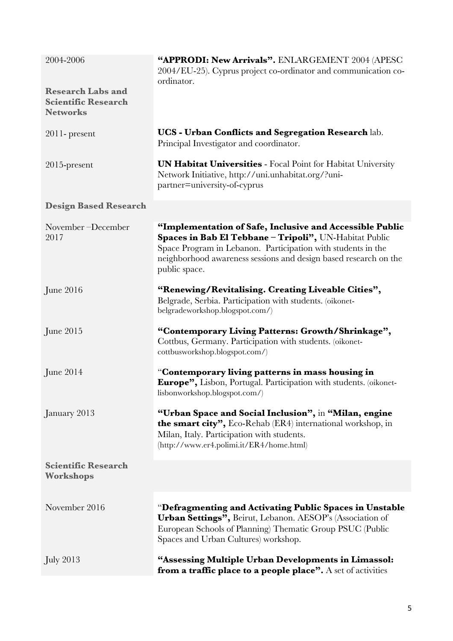| 2004-2006                                                                 | "APPRODI: New Arrivals". ENLARGEMENT 2004 (APESC<br>2004/EU-25). Cyprus project co-ordinator and communication co-<br>ordinator.                                                                                                                                        |
|---------------------------------------------------------------------------|-------------------------------------------------------------------------------------------------------------------------------------------------------------------------------------------------------------------------------------------------------------------------|
| <b>Research Labs and</b><br><b>Scientific Research</b><br><b>Networks</b> |                                                                                                                                                                                                                                                                         |
| $2011$ - present                                                          | UCS - Urban Conflicts and Segregation Research lab.<br>Principal Investigator and coordinator.                                                                                                                                                                          |
| $2015$ -present                                                           | <b>UN Habitat Universities - Focal Point for Habitat University</b><br>Network Initiative, http://uni.unhabitat.org/?uni-<br>partner=university-of-cyprus                                                                                                               |
| <b>Design Based Research</b>                                              |                                                                                                                                                                                                                                                                         |
| November-December<br>2017                                                 | "Implementation of Safe, Inclusive and Accessible Public<br>Spaces in Bab El Tebbane - Tripoli", UN-Habitat Public<br>Space Program in Lebanon. Participation with students in the<br>neighborhood awareness sessions and design based research on the<br>public space. |
| June 2016                                                                 | "Renewing/Revitalising. Creating Liveable Cities",<br>Belgrade, Serbia. Participation with students. (oikonet-<br>belgradeworkshop.blogspot.com/)                                                                                                                       |
| June 2015                                                                 | "Contemporary Living Patterns: Growth/Shrinkage",<br>Cottbus, Germany. Participation with students. (oikonet-<br>cottbusworkshop.blogspot.com/)                                                                                                                         |
| June $2014$                                                               | "Contemporary living patterns in mass housing in<br><b>Europe"</b> , Lisbon, Portugal. Participation with students. (oikonet-<br>lisbonworkshop.blogspot.com/)                                                                                                          |
| January 2013                                                              | "Urban Space and Social Inclusion", in "Milan, engine<br><b>the smart city"</b> , Eco-Rehab (ER4) international workshop, in<br>Milan, Italy. Participation with students.<br>(http://www.er4.polimi.it/ER4/home.html)                                                  |
| <b>Scientific Research</b><br><b>Workshops</b>                            |                                                                                                                                                                                                                                                                         |
| November 2016                                                             | "Defragmenting and Activating Public Spaces in Unstable<br>Urban Settings", Beirut, Lebanon. AESOP's (Association of<br>European Schools of Planning) Thematic Group PSUC (Public<br>Spaces and Urban Cultures) workshop.                                               |
| $\mathrm{July}$ 2013                                                      | "Assessing Multiple Urban Developments in Limassol:<br>from a traffic place to a people place". A set of activities                                                                                                                                                     |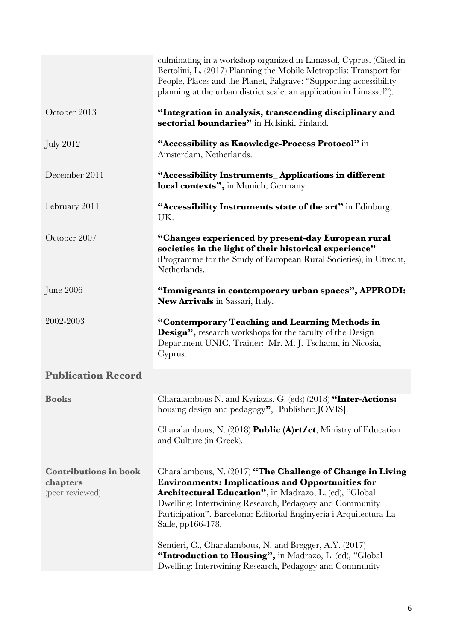|                                                             | culminating in a workshop organized in Limassol, Cyprus. (Cited in<br>Bertolini, L. (2017) Planning the Mobile Metropolis: Transport for<br>People, Places and the Planet, Palgrave: "Supporting accessibility<br>planning at the urban district scale: an application in Limassol").                                                                                                                                                                                                                                 |
|-------------------------------------------------------------|-----------------------------------------------------------------------------------------------------------------------------------------------------------------------------------------------------------------------------------------------------------------------------------------------------------------------------------------------------------------------------------------------------------------------------------------------------------------------------------------------------------------------|
| October 2013                                                | "Integration in analysis, transcending disciplinary and<br>sectorial boundaries" in Helsinki, Finland.                                                                                                                                                                                                                                                                                                                                                                                                                |
| <b>July 2012</b>                                            | "Accessibility as Knowledge-Process Protocol" in<br>Amsterdam, Netherlands.                                                                                                                                                                                                                                                                                                                                                                                                                                           |
| December 2011                                               | "Accessibility Instruments_Applications in different<br>local contexts", in Munich, Germany.                                                                                                                                                                                                                                                                                                                                                                                                                          |
| February 2011                                               | "Accessibility Instruments state of the art" in Edinburg,<br>UK.                                                                                                                                                                                                                                                                                                                                                                                                                                                      |
| October 2007                                                | "Changes experienced by present-day European rural<br>societies in the light of their historical experience"<br>(Programme for the Study of European Rural Societies), in Utrecht,<br>Netherlands.                                                                                                                                                                                                                                                                                                                    |
| June 2006                                                   | "Immigrants in contemporary urban spaces", APPRODI:<br>New Arrivals in Sassari, Italy.                                                                                                                                                                                                                                                                                                                                                                                                                                |
| 2002-2003                                                   | "Contemporary Teaching and Learning Methods in<br><b>Design</b> ", research workshops for the faculty of the Design<br>Department UNIC, Trainer: Mr. M. J. Tschann, in Nicosia,<br>Cyprus.                                                                                                                                                                                                                                                                                                                            |
| <b>Publication Record</b>                                   |                                                                                                                                                                                                                                                                                                                                                                                                                                                                                                                       |
| <b>Books</b>                                                | Charalambous N. and Kyriazis, G. (eds) (2018) "Inter-Actions:<br>housing design and pedagogy", [Publisher: JOVIS].                                                                                                                                                                                                                                                                                                                                                                                                    |
|                                                             | Charalambous, N. (2018) <b>Public (A)rt/ct</b> , Ministry of Education<br>and Culture (in Greek).                                                                                                                                                                                                                                                                                                                                                                                                                     |
| <b>Contributions in book</b><br>chapters<br>(peer reviewed) | Charalambous, N. (2017) "The Challenge of Change in Living<br><b>Environments: Implications and Opportunities for</b><br>Architectural Education", in Madrazo, L. (ed), "Global<br>Dwelling: Intertwining Research, Pedagogy and Community<br>Participation". Barcelona: Editorial Enginyeria i Arquitectura La<br>Salle, pp166-178.<br>Sentieri, C., Charalambous, N. and Bregger, A.Y. (2017)<br>"Introduction to Housing", in Madrazo, L. (ed), "Global<br>Dwelling: Intertwining Research, Pedagogy and Community |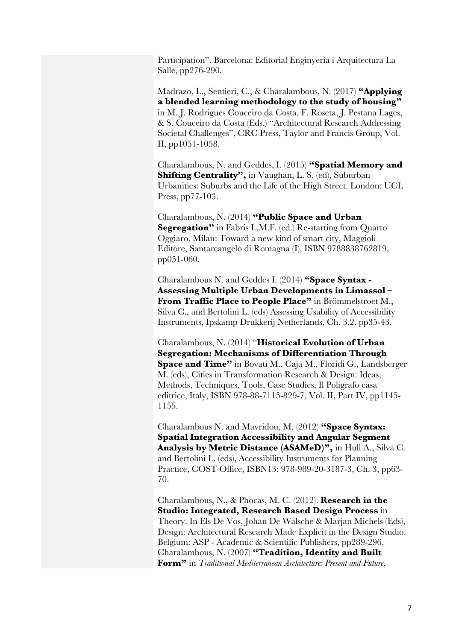Participation". Barcelona: Editorial Enginyeria i Arquitectura La Salle, pp276-290.

Madrazo, L., Sentieri, C., & Charalambous, N. (2017) **"Applying a blended learning methodology to the study of housing"**  in M. J. Rodrigues Couceiro da Costa, F. Roseta, J. Pestana Lages, & S. Couceiro da Costa (Eds.) "Architectural Research Addressing Societal Challenges", CRC Press, Taylor and Francis Group, Vol. II, pp1051-1058.

Charalambous, N. and Geddes, I. (2015) **"Spatial Memory and Shifting Centrality",** in Vaughan, L. S. (ed), Suburban Urbanities: Suburbs and the Life of the High Street. London: UCL Press, pp77-103.

Charalambous, N. (2014) **"Public Space and Urban Segregation"** in Fabris L.M.F. (ed.) Re-starting from Quarto Oggiaro, Milan: Toward a new kind of smart city, Maggioli Editore, Santarcangelo di Romagna (I), ISBN 9788838762819, pp051-060.

Charalambous N. and Geddes I. (2014) **"Space Syntax - Assessing Multiple Urban Developments in Limassol – From Traffic Place to People Place"** in Brömmelstroet M., Silva C., and Bertolini L. (eds) Assessing Usability of Accessibility Instruments, Ipskamp Drukkerij Netherlands, Ch. 3.2, pp35-43.

Charalambous, N. (2014) "**Historical Evolution of Urban Segregation: Mechanisms of Differentiation Through Space and Time"** in Bovati M., Caja M., Floridi G., Landsberger M. (eds), Cities in Transformation Research & Design: Ideas, Methods, Techniques, Tools, Case Studies, Il Poligrafo casa editrice, Italy, ISBN 978-88-7115-829-7, Vol. II, Part IV, pp1145- 1155.

Charalambous N. and Mavridou, M. (2012) **"Space Syntax: Spatial Integration Accessibility and Angular Segment Analysis by Metric Distance (ASAMeD)",** in Hull A., Silva C. and Bertolini L. (eds), Accessibility Instruments for Planning Practice, COST Office, ISBN13: 978-989-20-3187-3, Ch. 3, pp63- 70.

Charalambous, N., & Phocas, M. C. (2012). **Research in the Studio: Integrated, Research Based Design Process** in Theory. In Els De Vos, Johan De Walsche & Marjan Michels (Eds), Design: Architectural Research Made Explicit in the Design Studio. Belgium: ASP - Academic & Scientific Publishers, pp289-296. Charalambous, N. (2007) **"Tradition, Identity and Built Form"** in *Traditional Mediterranean Architecture: Present and Future*,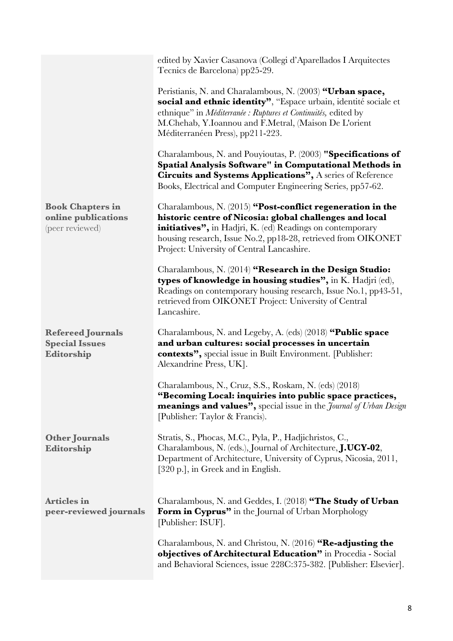|                                                                   | edited by Xavier Casanova (Collegi d'Aparellados I Arquitectes<br>Tecnics de Barcelona) pp25-29.                                                                                                                                                                                                  |
|-------------------------------------------------------------------|---------------------------------------------------------------------------------------------------------------------------------------------------------------------------------------------------------------------------------------------------------------------------------------------------|
|                                                                   | Peristianis, N. and Charalambous, N. (2003) "Urban space,<br>social and ethnic identity", "Espace urbain, identité sociale et<br>ethnique" in Méditerranée : Ruptures et Continuités, edited by<br>M.Chehab, Y.Ioannou and F.Metral, (Maison De L'orient<br>Méditerranéen Press), pp211-223.      |
|                                                                   | Charalambous, N. and Pouyioutas, P. (2003) "Specifications of<br>Spatial Analysis Software" in Computational Methods in<br>Circuits and Systems Applications", A series of Reference<br>Books, Electrical and Computer Engineering Series, pp57-62.                                               |
| <b>Book Chapters in</b><br>online publications<br>(peer reviewed) | Charalambous, N. (2015) "Post-conflict regeneration in the<br>historic centre of Nicosia: global challenges and local<br>initiatives", in Hadjri, K. (ed) Readings on contemporary<br>housing research, Issue No.2, pp18-28, retrieved from OIKONET<br>Project: University of Central Lancashire. |
|                                                                   | Charalambous, N. (2014) "Research in the Design Studio:<br>types of knowledge in housing studies", in K. Hadjri (ed),<br>Readings on contemporary housing research, Issue No.1, pp43-51,<br>retrieved from OIKONET Project: University of Central<br>Lancashire.                                  |
| <b>Refereed Journals</b><br><b>Special Issues</b><br>Editorship   | Charalambous, N. and Legeby, A. (eds) (2018) "Public space<br>and urban cultures: social processes in uncertain<br>contexts", special issue in Built Environment. [Publisher:<br>Alexandrine Press, UK].                                                                                          |
|                                                                   | Charalambous, N., Cruz, S.S., Roskam, N. (eds) (2018)<br>"Becoming Local: inquiries into public space practices,<br>meanings and values", special issue in the <i>Journal of Urban Design</i><br>[Publisher: Taylor & Francis].                                                                   |
| Other Journals<br>Editorship                                      | Stratis, S., Phocas, M.C., Pyla, P., Hadjichristos, C.,<br>Charalambous, N. (eds.), Journal of Architecture, J.UCY-02,<br>Department of Architecture, University of Cyprus, Nicosia, 2011,<br>[320 p.], in Greek and in English.                                                                  |
| <b>Articles</b> in<br>peer-reviewed journals                      | Charalambous, N. and Geddes, I. (2018) "The Study of Urban<br>Form in Cyprus" in the Journal of Urban Morphology<br>[Publisher: ISUF].                                                                                                                                                            |
|                                                                   | Charalambous, N. and Christou, N. (2016) "Re-adjusting the<br>objectives of Architectural Education" in Procedia - Social<br>and Behavioral Sciences, issue 228C:375-382. [Publisher: Elsevier].                                                                                                  |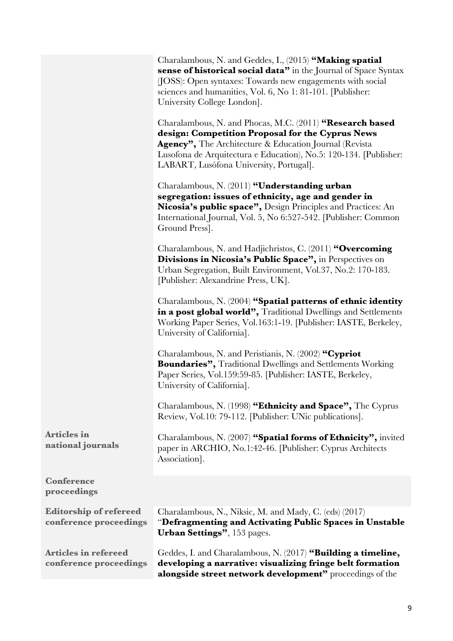|                                                         | Charalambous, N. and Geddes, I., (2015) "Making spatial<br>sense of historical social data" in the Journal of Space Syntax<br>(JOSS): Open syntaxes: Towards new engagements with social<br>sciences and humanities, Vol. 6, No 1: 81-101. [Publisher:<br>University College London].  |
|---------------------------------------------------------|----------------------------------------------------------------------------------------------------------------------------------------------------------------------------------------------------------------------------------------------------------------------------------------|
|                                                         | Charalambous, N. and Phocas, M.C. (2011) "Research based<br>design: Competition Proposal for the Cyprus News<br>Agency", The Architecture & Education Journal (Revista<br>Lusofona de Arquitectura e Education), No.5: 120-134. [Publisher:<br>LABART, Lusófona University, Portugal]. |
|                                                         | Charalambous, N. (2011) "Understanding urban<br>segregation: issues of ethnicity, age and gender in<br>Nicosia's public space", Design Principles and Practices: An<br>International Journal, Vol. 5, No 6:527-542. [Publisher: Common]<br>Ground Press].                              |
|                                                         | Charalambous, N. and Hadjichristos, C. (2011) "Overcoming<br>Divisions in Nicosia's Public Space", in Perspectives on<br>Urban Segregation, Built Environment, Vol.37, No.2: 170-183.<br>[Publisher: Alexandrine Press, UK].                                                           |
|                                                         | Charalambous, N. (2004) "Spatial patterns of ethnic identity<br>in a post global world", Traditional Dwellings and Settlements<br>Working Paper Series, Vol.163:1-19. [Publisher: IASTE, Berkeley,<br>University of California].                                                       |
|                                                         | Charalambous, N. and Peristianis, N. (2002) "Cypriot<br><b>Boundaries", Traditional Dwellings and Settlements Working</b><br>Paper Series, Vol.159:59-85. [Publisher: IASTE, Berkeley,<br>University of California].                                                                   |
|                                                         | Charalambous, N. (1998) "Ethnicity and Space", The Cyprus<br>Review, Vol.10: 79-112. [Publisher: UNic publications].                                                                                                                                                                   |
| <b>Articles in</b><br>national journals                 | Charalambous, N. (2007) "Spatial forms of Ethnicity", invited<br>paper in ARCHIO, No.1:42-46. [Publisher: Cyprus Architects<br>Association].                                                                                                                                           |
| <b>Conference</b><br>proceedings                        |                                                                                                                                                                                                                                                                                        |
| <b>Editorship of refereed</b><br>conference proceedings | Charalambous, N., Niksic, M. and Mady, C. (eds) (2017)<br>"Defragmenting and Activating Public Spaces in Unstable<br>Urban Settings", 153 pages.                                                                                                                                       |
| <b>Articles in refereed</b><br>conference proceedings   | Geddes, I. and Charalambous, N. (2017) "Building a timeline,<br>developing a narrative: visualizing fringe belt formation<br>alongside street network development" proceedings of the                                                                                                  |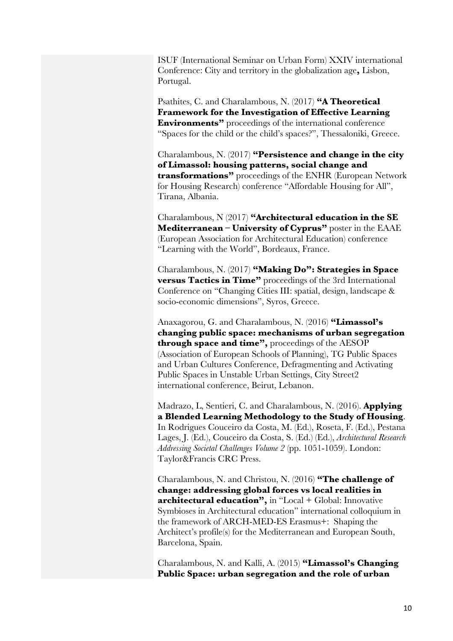ISUF (International Seminar on Urban Form) XXIV international Conference: City and territory in the globalization age**,** Lisbon, Portugal.

Psathites, C. and Charalambous, N. (2017) **"Α Theoretical Framework for the Investigation of Effective Learning Environments**" proceedings of the international conference "Spaces for the child or the child's spaces?", Thessaloniki, Greece.

Charalambous, N. (2017) **"Persistence and change in the city of Limassol: housing patterns, social change and transformations"** proceedings of the ENHR (European Network for Housing Research) conference "Affordable Housing for All", Tirana, Albania.

Charalambous, N (2017) **"Architectural education in the SE Mediterranean – University of Cyprus"** poster in the EAAE (European Association for Architectural Education) conference "Learning with the World", Bordeaux, France.

Charalambous, N. (2017) **"Making Do": Strategies in Space versus Tactics in Time"** proceedings of the 3rd International Conference on "Changing Cities III: spatial, design, landscape & socio-economic dimensions", Syros, Greece.

Anaxagorou, G. and Charalambous, N. (2016) **"Limassol's changing public space: mechanisms of urban segregation through space and time",** proceedings of the AESOP (Association of European Schools of Planning), TG Public Spaces and Urban Cultures Conference, Defragmenting and Activating Public Spaces in Unstable Urban Settings, City Street2 international conference, Beirut, Lebanon.

Madrazo, L, Sentieri, C. and Charalambous, N. (2016). **Applying a Blended Learning Methodology to the Study of Housing**. In Rodrigues Couceiro da Costa, M. (Ed.), Roseta, F. (Ed.), Pestana Lages, J. (Ed.), Couceiro da Costa, S. (Ed.) (Ed.), *Architectural Research Addressing Societal Challenges Volume 2* (pp. 1051-1059). London: Taylor&Francis CRC Press.

Charalambous, N. and Christou, N. (2016) **"The challenge of change: addressing global forces vs local realities in architectural education",** in "Local + Global: Innovative Symbioses in Architectural education" international colloquium in the framework of ARCH-MED-ES Erasmus+: Shaping the Architect's profile(s) for the Mediterranean and European South, Barcelona, Spain.

Charalambous, N. and Kalli, A. (2015) **"Limassol's Changing Public Space: urban segregation and the role of urban**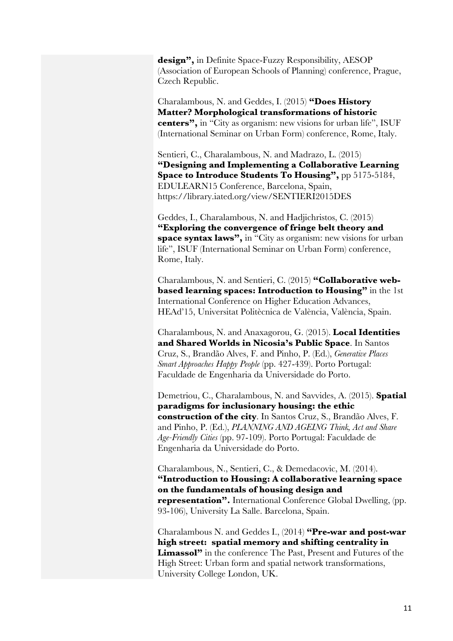**design",** in Definite Space-Fuzzy Responsibility, AESOP (Association of European Schools of Planning) conference, Prague, Czech Republic.

Charalambous, N. and Geddes, I. (2015) **"Does History Matter? Morphological transformations of historic centers",** in "City as organism: new visions for urban life", ISUF (International Seminar on Urban Form) conference, Rome, Italy.

Sentieri, C., Charalambous, N. and Madrazo, L. (2015) **"Designing and Implementing a Collaborative Learning Space to Introduce Students To Housing",** pp 5175-5184, EDULEARN15 Conference, Barcelona, Spain, https://library.iated.org/view/SENTIERI2015DES

Geddes, I., Charalambous, N. and Hadjichristos, C. (2015) **"Exploring the convergence of fringe belt theory and space syntax laws",** in "City as organism: new visions for urban life", ISUF (International Seminar on Urban Form) conference, Rome, Italy.

Charalambous, N. and Sentieri, C. (2015) **"Collaborative webbased learning spaces: Introduction to Housing"** in the 1st International Conference on Higher Education Advances, HEAd'15, Universitat Politècnica de València, València, Spain.

Charalambous, N. and Anaxagorou, G. (2015). **Local Identities and Shared Worlds in Nicosia's Public Space**. In Santos Cruz, S., Brandão Alves, F. and Pinho, P. (Ed.), *Generative Places Smart Approaches Happy People* (pp. 427-439). Porto Portugal: Faculdade de Engenharia da Universidade do Porto.

Demetriou, C., Charalambous, N. and Savvides, A. (2015). **Spatial paradigms for inclusionary housing: the ethic construction of the city**. In Santos Cruz, S., Brandão Alves, F. and Pinho, P. (Ed.), *PLANNING AND AGEING Think, Act and Share Age-Friendly Cities* (pp. 97-109). Porto Portugal: Faculdade de Engenharia da Universidade do Porto.

Charalambous, N., Sentieri, C., & Demedacovic, M. (2014). **"Introduction to Housing: A collaborative learning space on the fundamentals of housing design and representation".** International Conference Global Dwelling, (pp. 93-106), University La Salle. Barcelona, Spain.

Charalambous N. and Geddes I., (2014) **"Pre-war and post-war high street: spatial memory and shifting centrality in Limassol"** in the conference The Past, Present and Futures of the High Street: Urban form and spatial network transformations, University College London, UK.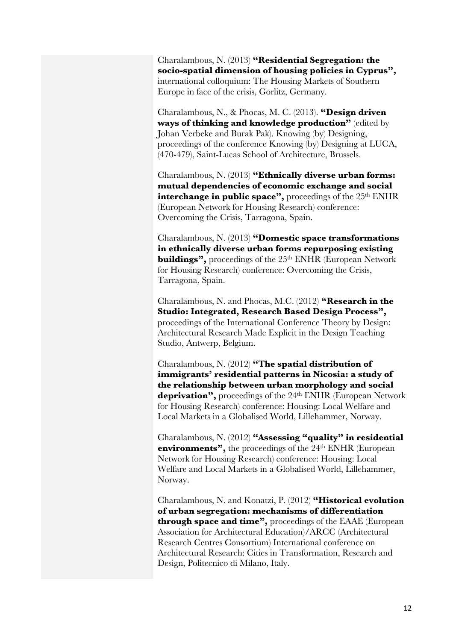Charalambous, N. (2013) **"Residential Segregation: the socio-spatial dimension of housing policies in Cyprus",** international colloquium: The Housing Markets of Southern Europe in face of the crisis, Gorlitz, Germany.

Charalambous, N., & Phocas, M. C. (2013). **"Design driven ways of thinking and knowledge production"** (edited by Johan Verbeke and Burak Pak). Knowing (by) Designing, proceedings of the conference Knowing (by) Designing at LUCA, (470-479), Saint-Lucas School of Architecture, Brussels.

Charalambous, N. (2013) **"Ethnically diverse urban forms: mutual dependencies of economic exchange and social**  interchange in public space", proceedings of the 25<sup>th</sup> ENHR (European Network for Housing Research) conference: Overcoming the Crisis, Tarragona, Spain.

Charalambous, N. (2013) **"Domestic space transformations in ethnically diverse urban forms repurposing existing buildings"**, proceedings of the 25<sup>th</sup> ENHR (European Network for Housing Research) conference: Overcoming the Crisis, Tarragona, Spain.

Charalambous, N. and Phocas, M.C. (2012) **"Research in the Studio: Integrated, Research Based Design Process",** proceedings of the International Conference Theory by Design: Architectural Research Made Explicit in the Design Teaching Studio, Antwerp, Belgium.

Charalambous, N. (2012) **"The spatial distribution of immigrants' residential patterns in Nicosia: a study of the relationship between urban morphology and social deprivation",** proceedings of the 24th ENHR (European Network for Housing Research) conference: Housing: Local Welfare and Local Markets in a Globalised World, Lillehammer, Norway.

Charalambous, N. (2012) **"Assessing "quality" in residential environments"**, the proceedings of the 24<sup>th</sup> ENHR (European Network for Housing Research) conference: Housing: Local Welfare and Local Markets in a Globalised World, Lillehammer, Norway.

Charalambous, N. and Konatzi, P. (2012) **"Historical evolution of urban segregation: mechanisms of differentiation through space and time",** proceedings of the EAAE (European Association for Architectural Education)/ARCC (Architectural Research Centres Consortium) International conference on Architectural Research: Cities in Transformation, Research and Design, Politecnico di Milano, Italy.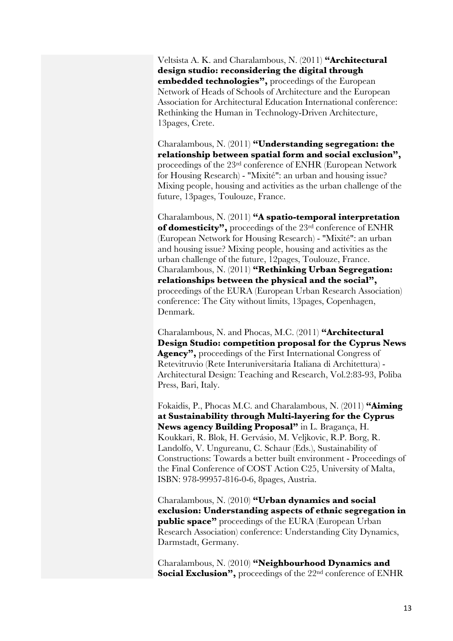Veltsista A. K. and Charalambous, N. (2011) **"Architectural design studio: reconsidering the digital through embedded technologies",** proceedings of the European Network of Heads of Schools of Architecture and the European Association for Architectural Education International conference: Rethinking the Human in Technology-Driven Architecture, 13pages, Crete.

Charalambous, N. (2011) **"Understanding segregation: the relationship between spatial form and social exclusion",** proceedings of the 23rd conference of ENHR (European Network for Housing Research) - "Mixité": an urban and housing issue? Mixing people, housing and activities as the urban challenge of the future, 13pages, Toulouze, France.

Charalambous, N. (2011) **"A spatio-temporal interpretation of domesticity",** proceedings of the 23rd conference of ENHR (European Network for Housing Research) - "Mixité": an urban and housing issue? Mixing people, housing and activities as the urban challenge of the future, 12pages, Toulouze, France. Charalambous, N. (2011) **"Rethinking Urban Segregation: relationships between the physical and the social",** proceedings of the EURA (European Urban Research Association) conference: The City without limits, 13pages, Copenhagen, Denmark.

Charalambous, N. and Phocas, M.C. (2011) **"Architectural Design Studio: competition proposal for the Cyprus News Agency",** proceedings of the First International Congress of Retevitruvio (Rete Interuniversitaria Italiana di Architettura) - Architectural Design: Teaching and Research, Vol.2:83-93, Poliba Press, Bari, Italy.

Fokaidis, P., Phocas M.C. and Charalambous, N. (2011) **"Aiming at Sustainability through Multi-layering for the Cyprus News agency Building Proposal"** in L. Bragança, H. Koukkari, R. Blok, H. Gervásio, M. Veljkovic, R.P. Borg, R. Landolfo, V. Ungureanu, C. Schaur (Eds.), Sustainability of Constructions: Towards a better built environment - Proceedings of the Final Conference of COST Action C25, University of Malta, ISBN: 978-99957-816-0-6, 8pages, Austria.

Charalambous, N. (2010) **"Urban dynamics and social exclusion: Understanding aspects of ethnic segregation in public space"** proceedings of the EURA (European Urban Research Association) conference: Understanding City Dynamics, Darmstadt, Germany.

Charalambous, N. (2010) **"Neighbourhood Dynamics and Social Exclusion"**, proceedings of the 22<sup>nd</sup> conference of ENHR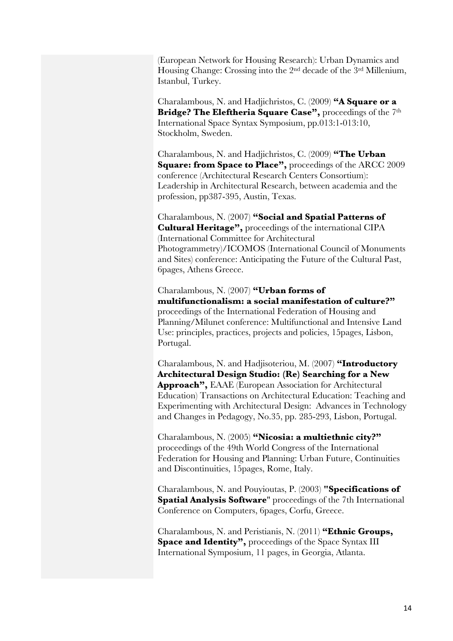(European Network for Housing Research): Urban Dynamics and Housing Change: Crossing into the 2nd decade of the 3rd Millenium, Istanbul, Turkey.

Charalambous, N. and Hadjichristos, C. (2009) **"A Square or a Bridge? The Eleftheria Square Case",** proceedings of the 7th International Space Syntax Symposium, pp.013:1-013:10, Stockholm, Sweden.

Charalambous, N. and Hadjichristos, C. (2009) **"The Urban Square: from Space to Place",** proceedings of the ARCC 2009 conference (Architectural Research Centers Consortium): Leadership in Architectural Research, between academia and the profession, pp387-395, Austin, Texas.

Charalambous, N. (2007) **"Social and Spatial Patterns of Cultural Heritage",** proceedings of the international CIPA (International Committee for Architectural Photogrammetry)/ICOMOS (International Council of Monuments and Sites) conference: Anticipating the Future of the Cultural Past, 6pages, Athens Greece.

Charalambous, N. (2007) **"Urban forms of multifunctionalism: a social manifestation of culture?"** proceedings of the International Federation of Housing and Planning/Milunet conference: Multifunctional and Intensive Land Use: principles, practices, projects and policies, 15pages, Lisbon, Portugal.

Charalambous, N. and Hadjisoteriou, M. (2007) **"Introductory Architectural Design Studio: (Re) Searching for a New Approach",** EAAE (European Association for Architectural Education) Transactions on Architectural Education: Teaching and Experimenting with Architectural Design: Advances in Technology and Changes in Pedagogy, No.35, pp. 285-293, Lisbon, Portugal.

Charalambous, N. (2005) **"Nicosia: a multiethnic city?"** proceedings of the 49th World Congress of the International Federation for Housing and Planning: Urban Future, Continuities and Discontinuities, 15pages, Rome, Italy.

Charalambous, N. and Pouyioutas, P. (2003) **"Specifications of Spatial Analysis Software**" proceedings of the 7th International Conference on Computers, 6pages, Corfu, Greece.

Charalambous, N. and Peristianis, N. (2011) **"Ethnic Groups,**  Space and Identity", proceedings of the Space Syntax III International Symposium, 11 pages, in Georgia, Atlanta.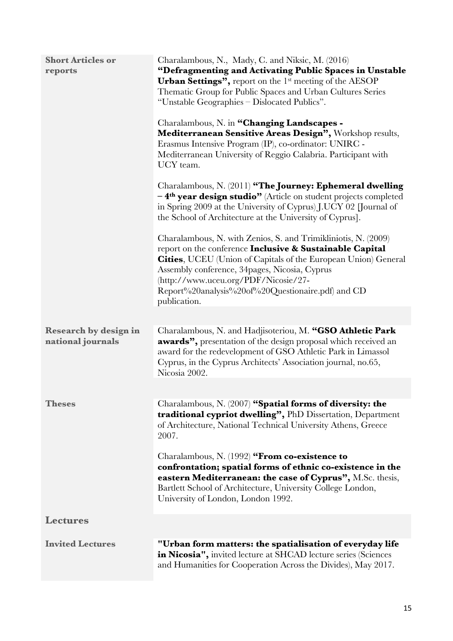| <b>Short Articles or</b><br>reports | Charalambous, N., Mady, C. and Niksic, M. (2016)<br>"Defragmenting and Activating Public Spaces in Unstable<br><b>Urban Settings"</b> , report on the $1st$ meeting of the AESOP<br>Thematic Group for Public Spaces and Urban Cultures Series<br>"Unstable Geographies – Dislocated Publics".<br>Charalambous, N. in "Changing Landscapes -<br>Mediterranean Sensitive Areas Design", Workshop results,<br>Erasmus Intensive Program (IP), co-ordinator: UNIRC -<br>Mediterranean University of Reggio Calabria. Participant with<br>UCY team.<br>Charalambous, N. (2011) "The Journey: Ephemeral dwelling<br>-4 <sup>th</sup> year design studio <sup>"</sup> (Article on student projects completed<br>in Spring 2009 at the University of Cyprus) J.UCY 02 [Journal of<br>the School of Architecture at the University of Cyprus]. |
|-------------------------------------|----------------------------------------------------------------------------------------------------------------------------------------------------------------------------------------------------------------------------------------------------------------------------------------------------------------------------------------------------------------------------------------------------------------------------------------------------------------------------------------------------------------------------------------------------------------------------------------------------------------------------------------------------------------------------------------------------------------------------------------------------------------------------------------------------------------------------------------|
|                                     | Charalambous, N. with Zenios, S. and Trimikliniotis, N. (2009)<br>report on the conference Inclusive & Sustainable Capital<br><b>Cities, UCEU</b> (Union of Capitals of the European Union) General<br>Assembly conference, 34 pages, Nicosia, Cyprus<br>(http://www.uceu.org/PDF/Nicosie/27-<br>Report%20analysis%20of%20Questionaire.pdf) and CD<br>publication.                                                                                                                                                                                                                                                                                                                                                                                                                                                                     |
| <b>Research by design in</b>        | Charalambous, N. and Hadjisoteriou, M. "GSO Athletic Park                                                                                                                                                                                                                                                                                                                                                                                                                                                                                                                                                                                                                                                                                                                                                                              |
| national journals                   | awards", presentation of the design proposal which received an<br>award for the redevelopment of GSO Athletic Park in Limassol<br>Cyprus, in the Cyprus Architects' Association journal, no.65,<br>Nicosia 2002.                                                                                                                                                                                                                                                                                                                                                                                                                                                                                                                                                                                                                       |
| <b>Theses</b>                       | Charalambous, N. (2007) "Spatial forms of diversity: the                                                                                                                                                                                                                                                                                                                                                                                                                                                                                                                                                                                                                                                                                                                                                                               |
|                                     | traditional cypriot dwelling", PhD Dissertation, Department<br>of Architecture, National Technical University Athens, Greece<br>2007.                                                                                                                                                                                                                                                                                                                                                                                                                                                                                                                                                                                                                                                                                                  |
|                                     | Charalambous, N. (1992) "From co-existence to<br>confrontation; spatial forms of ethnic co-existence in the<br>eastern Mediterranean: the case of Cyprus", M.Sc. thesis,<br>Bartlett School of Architecture, University College London,<br>University of London, London 1992.                                                                                                                                                                                                                                                                                                                                                                                                                                                                                                                                                          |
| <b>Lectures</b>                     |                                                                                                                                                                                                                                                                                                                                                                                                                                                                                                                                                                                                                                                                                                                                                                                                                                        |
|                                     |                                                                                                                                                                                                                                                                                                                                                                                                                                                                                                                                                                                                                                                                                                                                                                                                                                        |
| <b>Invited Lectures</b>             | "Urban form matters: the spatialisation of everyday life<br>in Nicosia", invited lecture at SHCAD lecture series (Sciences<br>and Humanities for Cooperation Across the Divides), May 2017.                                                                                                                                                                                                                                                                                                                                                                                                                                                                                                                                                                                                                                            |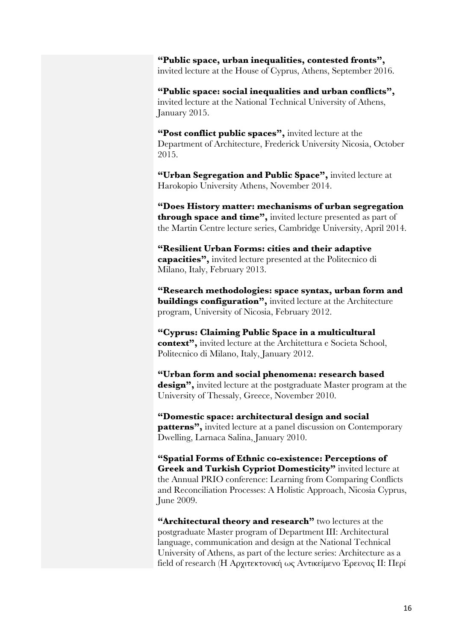**"Public space, urban inequalities, contested fronts",** invited lecture at the House of Cyprus, Athens, September 2016.

**"Public space: social inequalities and urban conflicts",** invited lecture at the National Technical University of Athens, January 2015.

**"Post conflict public spaces",** invited lecture at the Department of Architecture, Frederick University Nicosia, October 2015.

**"Urban Segregation and Public Space",** invited lecture at Harokopio University Athens, November 2014.

**"Does History matter: mechanisms of urban segregation through space and time",** invited lecture presented as part of the Martin Centre lecture series, Cambridge University, April 2014.

**"Resilient Urban Forms: cities and their adaptive capacities",** invited lecture presented at the Politecnico di Milano, Italy, February 2013.

**"Research methodologies: space syntax, urban form and buildings configuration",** invited lecture at the Architecture program, University of Nicosia, February 2012.

**"Cyprus: Claiming Public Space in a multicultural context",** invited lecture at the Architettura e Societa School, Politecnico di Milano, Italy, January 2012.

**"Urban form and social phenomena: research based design",** invited lecture at the postgraduate Master program at the University of Thessaly, Greece, November 2010.

**"Domestic space: architectural design and social patterns",** invited lecture at a panel discussion on Contemporary Dwelling, Larnaca Salina, January 2010.

**"Spatial Forms of Ethnic co-existence: Perceptions of Greek and Turkish Cypriot Domesticity"** invited lecture at the Annual PRIO conference: Learning from Comparing Conflicts and Reconciliation Processes: A Holistic Approach, Nicosia Cyprus, June 2009.

**"Architectural theory and research"** two lectures at the postgraduate Master program of Department III: Architectural language, communication and design at the National Technical University of Athens, as part of the lecture series: Architecture as a field of research (Η Αρχιτεκτονική ως Αντικείμενο Έρευνας ΙΙ: Περί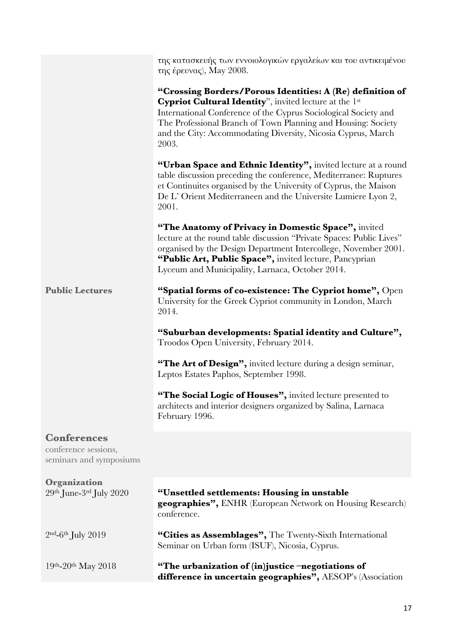|                                                                       | της κατασκευής των εννοιολογικών εργαλείων και του αντικειμένου<br>της έρευνας), May 2008.                                                                                                                                                                                                                                       |
|-----------------------------------------------------------------------|----------------------------------------------------------------------------------------------------------------------------------------------------------------------------------------------------------------------------------------------------------------------------------------------------------------------------------|
|                                                                       | "Crossing Borders/Porous Identities: A (Re) definition of<br>Cypriot Cultural Identity", invited lecture at the 1st<br>International Conference of the Cyprus Sociological Society and<br>The Professional Branch of Town Planning and Housing: Society<br>and the City: Accommodating Diversity, Nicosia Cyprus, March<br>2003. |
|                                                                       | "Urban Space and Ethnic Identity", invited lecture at a round<br>table discussion preceding the conference, Mediterranee: Ruptures<br>et Continuites organised by the University of Cyprus, the Maison<br>De L'Orient Mediterraneen and the Universite Lumiere Lyon 2,<br>2001.                                                  |
|                                                                       | "The Anatomy of Privacy in Domestic Space", invited<br>lecture at the round table discussion "Private Spaces: Public Lives"<br>organised by the Design Department Intercollege, November 2001.<br>"Public Art, Public Space", invited lecture, Pancyprian<br>Lyceum and Municipality, Larnaca, October 2014.                     |
| <b>Public Lectures</b>                                                | "Spatial forms of co-existence: The Cypriot home", Open<br>University for the Greek Cypriot community in London, March<br>2014.                                                                                                                                                                                                  |
|                                                                       | "Suburban developments: Spatial identity and Culture",<br>Troodos Open University, February 2014.                                                                                                                                                                                                                                |
|                                                                       | "The Art of Design", invited lecture during a design seminar,<br>Leptos Estates Paphos, September 1998.                                                                                                                                                                                                                          |
|                                                                       | "The Social Logic of Houses", invited lecture presented to<br>architects and interior designers organized by Salina, Larnaca<br>February 1996.                                                                                                                                                                                   |
| <b>Conferences</b><br>conference sessions,<br>seminars and symposiums |                                                                                                                                                                                                                                                                                                                                  |
| Organization<br>29th June-3rd July 2020                               | "Unsettled settlements: Housing in unstable<br><b>geographies", ENHR</b> (European Network on Housing Research)<br>conference.                                                                                                                                                                                                   |
| $2nd$ -6 <sup>th</sup> July 2019                                      | "Cities as Assemblages", The Twenty-Sixth International<br>Seminar on Urban form (ISUF), Nicosia, Cyprus.                                                                                                                                                                                                                        |
| $19th - 20th$ May 2018                                                | "The urbanization of (in)justice -negotiations of<br>difference in uncertain geographies", AESOP's (Association                                                                                                                                                                                                                  |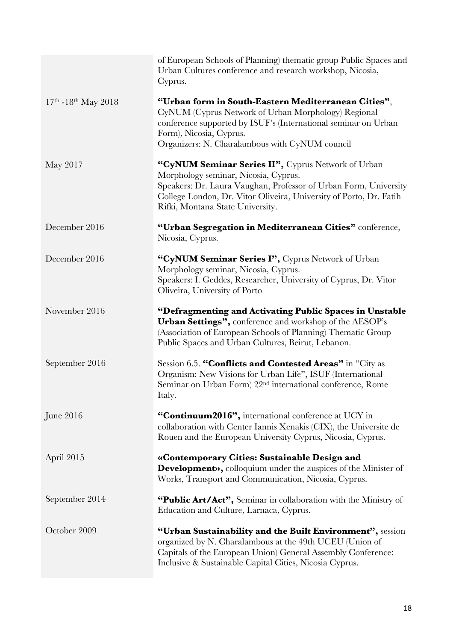|                        | of European Schools of Planning) thematic group Public Spaces and<br>Urban Cultures conference and research workshop, Nicosia,<br>Cyprus.                                                                                                                                |
|------------------------|--------------------------------------------------------------------------------------------------------------------------------------------------------------------------------------------------------------------------------------------------------------------------|
| $17th - 18th$ May 2018 | "Urban form in South-Eastern Mediterranean Cities",<br>CyNUM (Cyprus Network of Urban Morphology) Regional<br>conference supported by ISUF's (International seminar on Urban<br>Form), Nicosia, Cyprus.<br>Organizers: N. Charalambous with CyNUM council                |
| May 2017               | "CyNUM Seminar Series II", Cyprus Network of Urban<br>Morphology seminar, Nicosia, Cyprus.<br>Speakers: Dr. Laura Vaughan, Professor of Urban Form, University<br>College London, Dr. Vitor Oliveira, University of Porto, Dr. Fatih<br>Rifki, Montana State University. |
| December 2016          | "Urban Segregation in Mediterranean Cities" conference,<br>Nicosia, Cyprus.                                                                                                                                                                                              |
| December 2016          | "CyNUM Seminar Series I", Cyprus Network of Urban<br>Morphology seminar, Nicosia, Cyprus.<br>Speakers: I. Geddes, Researcher, University of Cyprus, Dr. Vitor<br>Oliveira, University of Porto                                                                           |
| November 2016          | "Defragmenting and Activating Public Spaces in Unstable<br>Urban Settings", conference and workshop of the AESOP's<br>(Association of European Schools of Planning) Thematic Group<br>Public Spaces and Urban Cultures, Beirut, Lebanon.                                 |
| September 2016         | Session 6.5. "Conflicts and Contested Areas" in "City as<br>Organism: New Visions for Urban Life", ISUF (International<br>Seminar on Urban Form) 22 <sup>nd</sup> international conference, Rome<br>Italy.                                                               |
| June $2016$            | "Continuum2016", international conference at UCY in<br>collaboration with Center Iannis Xenakis (CIX), the Universite de<br>Rouen and the European University Cyprus, Nicosia, Cyprus.                                                                                   |
| April 2015             | «Contemporary Cities: Sustainable Design and<br><b>Development»</b> , colloquium under the auspices of the Minister of<br>Works, Transport and Communication, Nicosia, Cyprus.                                                                                           |
| September 2014         | "Public Art/Act", Seminar in collaboration with the Ministry of<br>Education and Culture, Larnaca, Cyprus.                                                                                                                                                               |
| October 2009           | "Urban Sustainability and the Built Environment", session<br>organized by N. Charalambous at the 49th UCEU (Union of<br>Capitals of the European Union) General Assembly Conference:<br>Inclusive & Sustainable Capital Cities, Nicosia Cyprus.                          |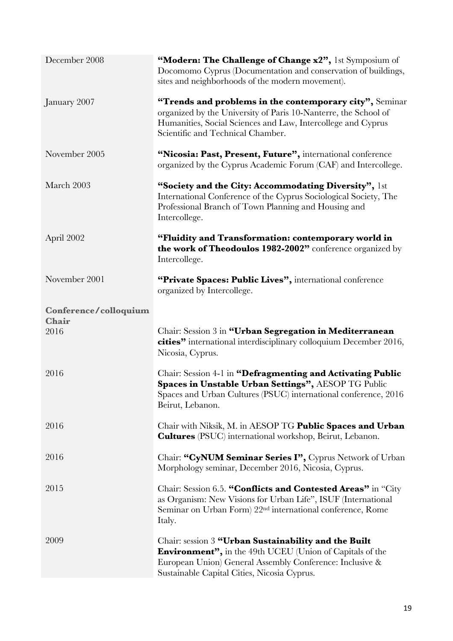| December 2008                  | "Modern: The Challenge of Change x2", 1st Symposium of<br>Docomomo Cyprus (Documentation and conservation of buildings,<br>sites and neighborhoods of the modern movement).                                                         |
|--------------------------------|-------------------------------------------------------------------------------------------------------------------------------------------------------------------------------------------------------------------------------------|
| January 2007                   | "Trends and problems in the contemporary city", Seminar<br>organized by the University of Paris 10-Nanterre, the School of<br>Humanities, Social Sciences and Law, Intercollege and Cyprus<br>Scientific and Technical Chamber.     |
| November 2005                  | "Nicosia: Past, Present, Future", international conference<br>organized by the Cyprus Academic Forum (CAF) and Intercollege.                                                                                                        |
| March 2003                     | "Society and the City: Accommodating Diversity", 1st<br>International Conference of the Cyprus Sociological Society, The<br>Professional Branch of Town Planning and Housing and<br>Intercollege.                                   |
| April 2002                     | "Fluidity and Transformation: contemporary world in<br>the work of Theodoulos 1982-2002" conference organized by<br>Intercollege.                                                                                                   |
| November 2001                  | "Private Spaces: Public Lives", international conference<br>organized by Intercollege.                                                                                                                                              |
| Conference/colloquium<br>Chair |                                                                                                                                                                                                                                     |
| 2016                           | Chair: Session 3 in "Urban Segregation in Mediterranean<br>cities" international interdisciplinary colloquium December 2016,<br>Nicosia, Cyprus.                                                                                    |
| 2016                           | Chair: Session 4-1 in "Defragmenting and Activating Public<br>Spaces in Unstable Urban Settings", AESOP TG Public<br>Spaces and Urban Cultures (PSUC) international conference, 2016<br>Beirut, Lebanon.                            |
| 2016                           | Chair with Niksik, M. in AESOP TG Public Spaces and Urban<br><b>Cultures</b> (PSUC) international workshop, Beirut, Lebanon.                                                                                                        |
| 2016                           | Chair: "CyNUM Seminar Series I", Cyprus Network of Urban<br>Morphology seminar, December 2016, Nicosia, Cyprus.                                                                                                                     |
| 2015                           | Chair: Session 6.5. "Conflicts and Contested Areas" in "City<br>as Organism: New Visions for Urban Life", ISUF (International<br>Seminar on Urban Form) 22 <sup>nd</sup> international conference, Rome<br>Italy.                   |
| 2009                           | Chair: session 3 "Urban Sustainability and the Built<br><b>Environment"</b> , in the 49th UCEU (Union of Capitals of the<br>European Union) General Assembly Conference: Inclusive &<br>Sustainable Capital Cities, Nicosia Cyprus. |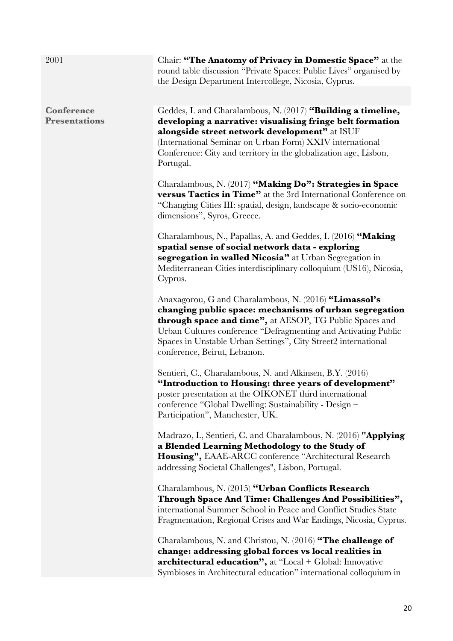| 2001                                      | Chair: "The Anatomy of Privacy in Domestic Space" at the<br>round table discussion "Private Spaces: Public Lives" organised by<br>the Design Department Intercollege, Nicosia, Cyprus.                                                                                                                                                                 |
|-------------------------------------------|--------------------------------------------------------------------------------------------------------------------------------------------------------------------------------------------------------------------------------------------------------------------------------------------------------------------------------------------------------|
|                                           |                                                                                                                                                                                                                                                                                                                                                        |
| <b>Conference</b><br><b>Presentations</b> | Geddes, I. and Charalambous, N. (2017) "Building a timeline,<br>developing a narrative: visualising fringe belt formation<br>alongside street network development" at ISUF                                                                                                                                                                             |
|                                           | (International Seminar on Urban Form) XXIV international<br>Conference: City and territory in the globalization age, Lisbon,<br>Portugal.                                                                                                                                                                                                              |
|                                           | Charalambous, N. (2017) "Making Do": Strategies in Space<br>versus Tactics in Time" at the 3rd International Conference on<br>"Changing Cities III: spatial, design, landscape & socio-economic<br>dimensions", Syros, Greece.                                                                                                                         |
|                                           | Charalambous, N., Papallas, A. and Geddes, I. (2016) "Making<br>spatial sense of social network data - exploring<br>segregation in walled Nicosia" at Urban Segregation in                                                                                                                                                                             |
|                                           | Mediterranean Cities interdisciplinary colloquium (US16), Nicosia,<br>Cyprus.                                                                                                                                                                                                                                                                          |
|                                           | Anaxagorou, G and Charalambous, N. (2016) "Limassol's<br>changing public space: mechanisms of urban segregation<br><b>through space and time"</b> , at AESOP, TG Public Spaces and<br>Urban Cultures conference "Defragmenting and Activating Public<br>Spaces in Unstable Urban Settings", City Street2 international<br>conference, Beirut, Lebanon. |
|                                           | Sentieri, C., Charalambous, N. and Alkinsen, B.Y. (2016)<br>"Introduction to Housing: three years of development"<br>poster presentation at the OIKONET third international<br>conference "Global Dwelling: Sustainability - Design –<br>Participation", Manchester, UK.                                                                               |
|                                           | Madrazo, L, Sentieri, C. and Charalambous, N. (2016) "Applying<br>a Blended Learning Methodology to the Study of<br>Housing", EAAE-ARCC conference "Architectural Research<br>addressing Societal Challenges", Lisbon, Portugal.                                                                                                                       |
|                                           | Charalambous, N. (2015) "Urban Conflicts Research<br>Through Space And Time: Challenges And Possibilities",<br>international Summer School in Peace and Conflict Studies State<br>Fragmentation, Regional Crises and War Endings, Nicosia, Cyprus.                                                                                                     |
|                                           | Charalambous, N. and Christou, N. (2016) "The challenge of<br>change: addressing global forces vs local realities in<br><b>architectural education"</b> , at "Local + Global: Innovative<br>Symbioses in Architectural education" international colloquium in                                                                                          |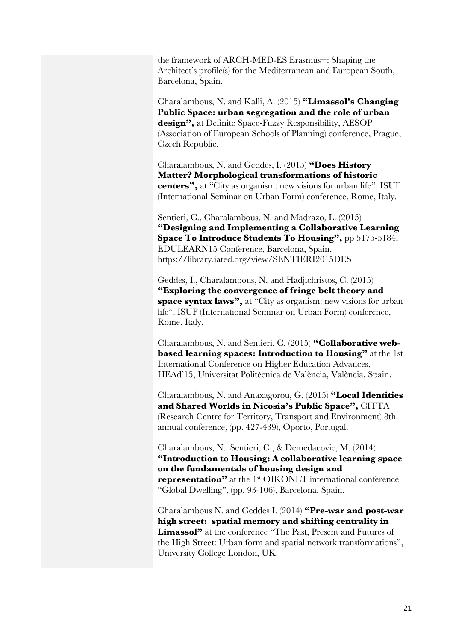the framework of ARCH-MED-ES Erasmus+: Shaping the Architect's profile(s) for the Mediterranean and European South, Barcelona, Spain.

Charalambous, N. and Kalli, A. (2015) **"Limassol's Changing Public Space: urban segregation and the role of urban design",** at Definite Space-Fuzzy Responsibility, AESOP (Association of European Schools of Planning) conference, Prague, Czech Republic.

Charalambous, N. and Geddes, I. (2015) **"Does History Matter? Morphological transformations of historic centers",** at "City as organism: new visions for urban life", ISUF (International Seminar on Urban Form) conference, Rome, Italy.

Sentieri, C., Charalambous, N. and Madrazo, L. (2015) **"Designing and Implementing a Collaborative Learning Space To Introduce Students To Housing",** pp 5175-5184, EDULEARN15 Conference, Barcelona, Spain, https://library.iated.org/view/SENTIERI2015DES

Geddes, I., Charalambous, N. and Hadjichristos, C. (2015) **"Exploring the convergence of fringe belt theory and space syntax laws",** at "City as organism: new visions for urban life", ISUF (International Seminar on Urban Form) conference, Rome, Italy.

Charalambous, N. and Sentieri, C. (2015) **"Collaborative webbased learning spaces: Introduction to Housing"** at the 1st International Conference on Higher Education Advances, HEAd'15, Universitat Politècnica de València, València, Spain.

Charalambous, N. and Anaxagorou, G. (2015) **"Local Identities and Shared Worlds in Nicosia's Public Space",** CITTA (Research Centre for Territory, Transport and Environment) 8th annual conference, (pp. 427-439), Oporto, Portugal.

Charalambous, N., Sentieri, C., & Demedacovic, M. (2014) **"Introduction to Housing: A collaborative learning space on the fundamentals of housing design and representation"** at the 1st OIKONET international conference "Global Dwelling", (pp. 93-106), Barcelona, Spain.

Charalambous N. and Geddes I. (2014) **"Pre-war and post-war high street: spatial memory and shifting centrality in Limassol"** at the conference "The Past, Present and Futures of the High Street: Urban form and spatial network transformations", University College London, UK.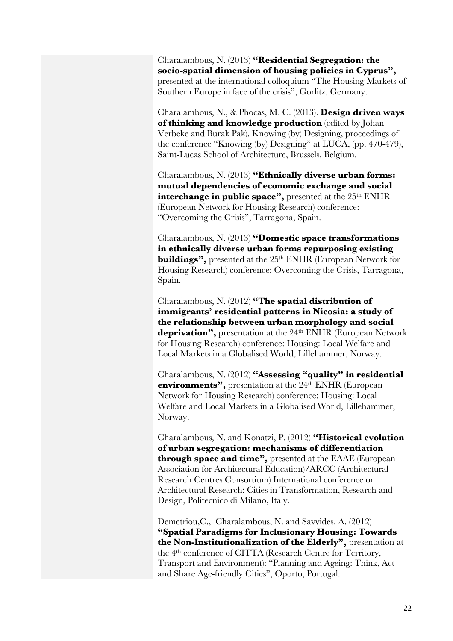Charalambous, N. (2013) **"Residential Segregation: the socio-spatial dimension of housing policies in Cyprus",** presented at the international colloquium "The Housing Markets of Southern Europe in face of the crisis", Gorlitz, Germany.

Charalambous, N., & Phocas, M. C. (2013). **Design driven ways of thinking and knowledge production** (edited by Johan Verbeke and Burak Pak). Knowing (by) Designing, proceedings of the conference "Knowing (by) Designing" at LUCA, (pp. 470-479), Saint-Lucas School of Architecture, Brussels, Belgium.

Charalambous, N. (2013) **"Ethnically diverse urban forms: mutual dependencies of economic exchange and social**  interchange in public space", presented at the 25<sup>th</sup> ENHR (European Network for Housing Research) conference: "Overcoming the Crisis", Tarragona, Spain.

Charalambous, N. (2013) **"Domestic space transformations in ethnically diverse urban forms repurposing existing buildings"**, presented at the 25<sup>th</sup> ENHR (European Network for Housing Research) conference: Overcoming the Crisis, Tarragona, Spain.

Charalambous, N. (2012) **"The spatial distribution of immigrants' residential patterns in Nicosia: a study of the relationship between urban morphology and social deprivation",** presentation at the 24th ENHR (European Network for Housing Research) conference: Housing: Local Welfare and Local Markets in a Globalised World, Lillehammer, Norway.

Charalambous, N. (2012) **"Assessing "quality" in residential environments"**, presentation at the 24<sup>th</sup> ENHR (European Network for Housing Research) conference: Housing: Local Welfare and Local Markets in a Globalised World, Lillehammer, Norway.

Charalambous, N. and Konatzi, P. (2012) **"Historical evolution of urban segregation: mechanisms of differentiation through space and time",** presented at the EAAE (European Association for Architectural Education)/ARCC (Architectural Research Centres Consortium) International conference on Architectural Research: Cities in Transformation, Research and Design, Politecnico di Milano, Italy.

Demetriou,C., Charalambous, N. and Savvides, A. (2012) **"Spatial Paradigms for Inclusionary Housing: Towards the Non-Institutionalization of the Elderly",** presentation at the 4th conference of CITTA (Research Centre for Territory, Transport and Environment): "Planning and Ageing: Think, Act and Share Age-friendly Cities", Oporto, Portugal.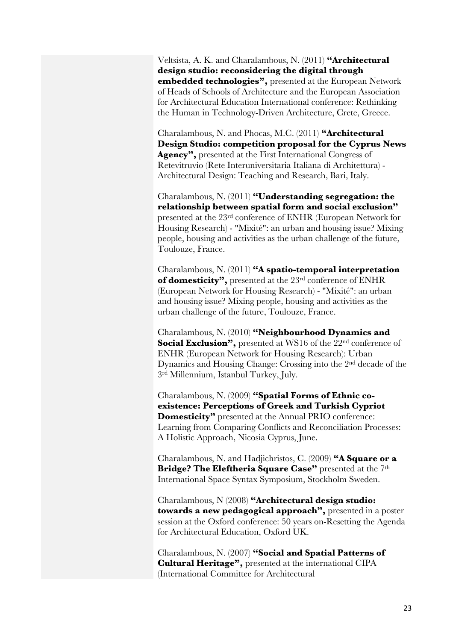Veltsista, A. K. and Charalambous, N. (2011) **"Architectural design studio: reconsidering the digital through embedded technologies",** presented at the European Network of Heads of Schools of Architecture and the European Association for Architectural Education International conference: Rethinking the Human in Technology-Driven Architecture, Crete, Greece.

Charalambous, N. and Phocas, M.C. (2011) **"Architectural Design Studio: competition proposal for the Cyprus News Agency",** presented at the First International Congress of Retevitruvio (Rete Interuniversitaria Italiana di Architettura) - Architectural Design: Teaching and Research, Bari, Italy.

Charalambous, N. (2011) **"Understanding segregation: the relationship between spatial form and social exclusion"** presented at the 23rd conference of ENHR (European Network for Housing Research) - "Mixité": an urban and housing issue? Mixing people, housing and activities as the urban challenge of the future, Toulouze, France.

Charalambous, N. (2011) **"A spatio-temporal interpretation**  of domesticity", presented at the 23<sup>rd</sup> conference of ENHR (European Network for Housing Research) - "Mixité": an urban and housing issue? Mixing people, housing and activities as the urban challenge of the future, Toulouze, France.

Charalambous, N. (2010) **"Neighbourhood Dynamics and Social Exclusion"**, presented at WS16 of the 22<sup>nd</sup> conference of ENHR (European Network for Housing Research): Urban Dynamics and Housing Change: Crossing into the 2nd decade of the 3rd Millennium, Istanbul Turkey, July.

Charalambous, N. (2009) **"Spatial Forms of Ethnic coexistence: Perceptions of Greek and Turkish Cypriot Domesticity"** presented at the Annual PRIO conference: Learning from Comparing Conflicts and Reconciliation Processes: A Holistic Approach, Nicosia Cyprus, June.

Charalambous, N. and Hadjichristos, C. (2009) **"A Square or a Bridge? The Eleftheria Square Case"** presented at the 7th International Space Syntax Symposium, Stockholm Sweden.

Charalambous, N (2008) **"Architectural design studio: towards a new pedagogical approach",** presented in a poster session at the Oxford conference: 50 years on-Resetting the Agenda for Architectural Education, Oxford UK.

Charalambous, N. (2007) **"Social and Spatial Patterns of Cultural Heritage",** presented at the international CIPA (International Committee for Architectural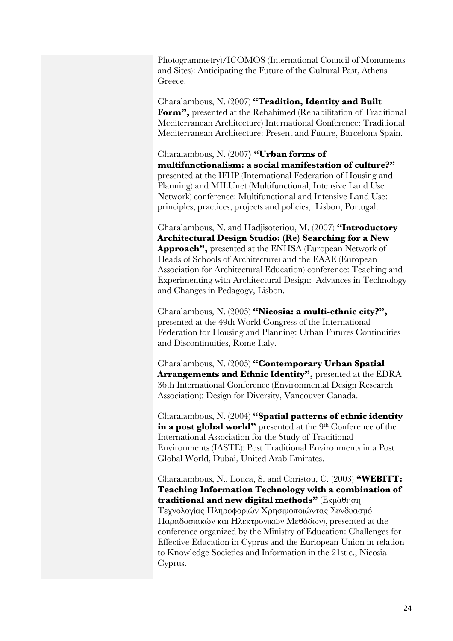Photogrammetry)/ICOMOS (International Council of Monuments and Sites): Anticipating the Future of the Cultural Past, Athens Greece.

Charalambous, N. (2007) **"Tradition, Identity and Built Form",** presented at the Rehabimed (Rehabilitation of Traditional Mediterranean Architecture) International Conference: Traditional Mediterranean Architecture: Present and Future, Barcelona Spain.

Charalambous, N. (2007**) "Urban forms of multifunctionalism: a social manifestation of culture?"** presented at the IFHP (International Federation of Housing and Planning) and MILUnet (Multifunctional, Intensive Land Use Network) conference: Multifunctional and Intensive Land Use: principles, practices, projects and policies, Lisbon, Portugal.

Charalambous, N. and Hadjisoteriou, M. (2007) **"Introductory Architectural Design Studio: (Re) Searching for a New Approach",** presented at the ENHSA (European Network of Heads of Schools of Architecture) and the EAAE (European Association for Architectural Education) conference: Teaching and Experimenting with Architectural Design: Advances in Technology and Changes in Pedagogy, Lisbon.

Charalambous, N. (2005) **"Nicosia: a multi-ethnic city?",** presented at the 49th World Congress of the International Federation for Housing and Planning: Urban Futures Continuities and Discontinuities, Rome Italy.

Charalambous, N. (2005) **"Contemporary Urban Spatial Arrangements and Ethnic Identity",** presented at the EDRA 36th International Conference (Environmental Design Research Association): Design for Diversity, Vancouver Canada.

Charalambous, N. (2004) **"Spatial patterns of ethnic identity**  in a post global world" presented at the 9<sup>th</sup> Conference of the International Association for the Study of Traditional Environments (IASTE): Post Traditional Environments in a Post Global World, Dubai, United Arab Emirates.

Charalambous, N., Louca, S. and Christou, C. (2003) **"WEBITT: Teaching Information Technology with a combination of traditional and new digital methods"** (Εκμάθηση Τεχνολογίας Πληροφοριών Χρησιμοποιώντας Συνδυασμό Παραδοσιακών και Ηλεκτρονικών Μεθόδων), presented at the conference organized by the Ministry of Education: Challenges for Effective Education in Cyprus and the Euriopean Union in relation to Knowledge Societies and Information in the 21st c., Nicosia Cyprus.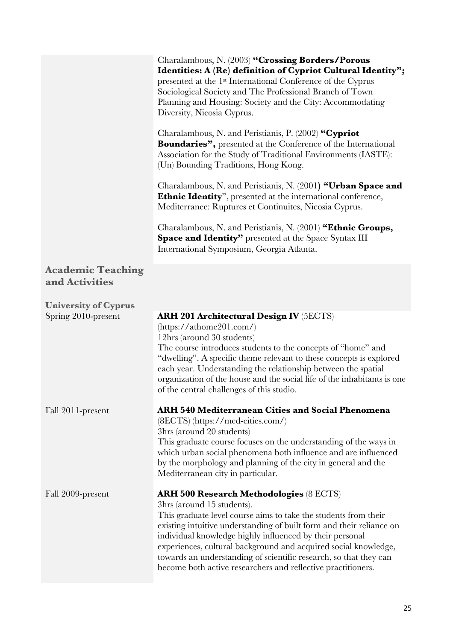|                                            | Charalambous, N. (2003) "Crossing Borders/Porous<br>Identities: A (Re) definition of Cypriot Cultural Identity";<br>presented at the 1 <sup>st</sup> International Conference of the Cyprus<br>Sociological Society and The Professional Branch of Town<br>Planning and Housing: Society and the City: Accommodating<br>Diversity, Nicosia Cyprus.<br>Charalambous, N. and Peristianis, P. (2002) "Cypriot<br><b>Boundaries"</b> , presented at the Conference of the International<br>Association for the Study of Traditional Environments (IASTE):<br>(Un) Bounding Traditions, Hong Kong.<br>Charalambous, N. and Peristianis, N. (2001) "Urban Space and<br><b>Ethnic Identity</b> ", presented at the international conference,<br>Mediterranee: Ruptures et Continuites, Nicosia Cyprus.<br>Charalambous, N. and Peristianis, N. (2001) "Ethnic Groups,<br><b>Space and Identity"</b> presented at the Space Syntax III<br>International Symposium, Georgia Atlanta. |
|--------------------------------------------|-----------------------------------------------------------------------------------------------------------------------------------------------------------------------------------------------------------------------------------------------------------------------------------------------------------------------------------------------------------------------------------------------------------------------------------------------------------------------------------------------------------------------------------------------------------------------------------------------------------------------------------------------------------------------------------------------------------------------------------------------------------------------------------------------------------------------------------------------------------------------------------------------------------------------------------------------------------------------------|
|                                            |                                                                                                                                                                                                                                                                                                                                                                                                                                                                                                                                                                                                                                                                                                                                                                                                                                                                                                                                                                             |
| <b>Academic Teaching</b><br>and Activities |                                                                                                                                                                                                                                                                                                                                                                                                                                                                                                                                                                                                                                                                                                                                                                                                                                                                                                                                                                             |
| <b>University of Cyprus</b>                |                                                                                                                                                                                                                                                                                                                                                                                                                                                                                                                                                                                                                                                                                                                                                                                                                                                                                                                                                                             |
| Spring 2010-present                        | <b>ARH 201 Architectural Design IV (5ECTS)</b><br>(htips://athome201.com/)<br>12hrs (around 30 students)<br>The course introduces students to the concepts of "home" and<br>"dwelling". A specific theme relevant to these concepts is explored<br>each year. Understanding the relationship between the spatial<br>organization of the house and the social life of the inhabitants is one<br>of the central challenges of this studio.                                                                                                                                                                                                                                                                                                                                                                                                                                                                                                                                    |
| Fall 2011-present                          | <b>ARH 540 Mediterranean Cities and Social Phenomena</b><br>(8ECTS) (https://med-cities.com/)<br>3hrs (around 20 students)<br>This graduate course focuses on the understanding of the ways in<br>which urban social phenomena both influence and are influenced<br>by the morphology and planning of the city in general and the<br>Mediterranean city in particular.                                                                                                                                                                                                                                                                                                                                                                                                                                                                                                                                                                                                      |
| Fall 2009-present                          | <b>ARH 500 Research Methodologies (8 ECTS)</b><br>3hrs (around 15 students).<br>This graduate level course aims to take the students from their<br>existing intuitive understanding of built form and their reliance on<br>individual knowledge highly influenced by their personal<br>experiences, cultural background and acquired social knowledge,<br>towards an understanding of scientific research, so that they can<br>become both active researchers and reflective practitioners.                                                                                                                                                                                                                                                                                                                                                                                                                                                                                 |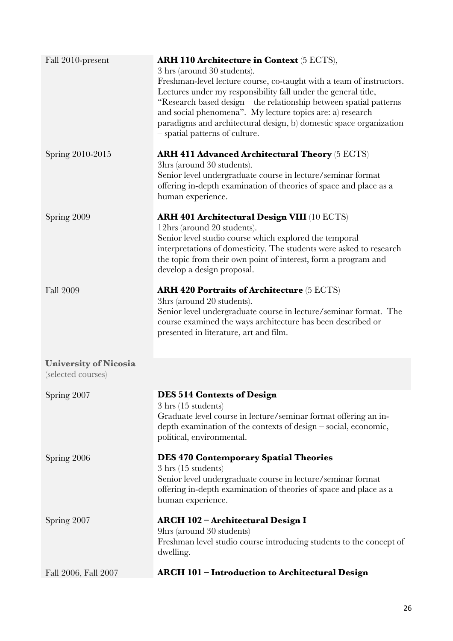| Fall 2010-present                                  | <b>ARH 110 Architecture in Context</b> (5 ECTS),<br>3 hrs (around 30 students).<br>Freshman-level lecture course, co-taught with a team of instructors.<br>Lectures under my responsibility fall under the general title,<br>"Research based design – the relationship between spatial patterns<br>and social phenomena". My lecture topics are: a) research<br>paradigms and architectural design, b) domestic space organization<br>- spatial patterns of culture. |
|----------------------------------------------------|----------------------------------------------------------------------------------------------------------------------------------------------------------------------------------------------------------------------------------------------------------------------------------------------------------------------------------------------------------------------------------------------------------------------------------------------------------------------|
| Spring 2010-2015                                   | <b>ARH 411 Advanced Architectural Theory</b> (5 ECTS)<br>3hrs (around 30 students).<br>Senior level undergraduate course in lecture/seminar format<br>offering in-depth examination of theories of space and place as a<br>human experience.                                                                                                                                                                                                                         |
| Spring 2009                                        | <b>ARH 401 Architectural Design VIII</b> (10 ECTS)<br>12hrs (around 20 students).<br>Senior level studio course which explored the temporal<br>interpretations of domesticity. The students were asked to research<br>the topic from their own point of interest, form a program and<br>develop a design proposal.                                                                                                                                                   |
| <b>Fall 2009</b>                                   | <b>ARH 420 Portraits of Architecture</b> (5 ECTS)<br>3hrs (around 20 students).<br>Senior level undergraduate course in lecture/seminar format. The<br>course examined the ways architecture has been described or<br>presented in literature, art and film.                                                                                                                                                                                                         |
| <b>University of Nicosia</b><br>(selected courses) |                                                                                                                                                                                                                                                                                                                                                                                                                                                                      |
| Spring 2007                                        | <b>DES 514 Contexts of Design</b><br>$3 \text{ hrs}$ (15 students)<br>Graduate level course in lecture/seminar format offering an in-<br>depth examination of the contexts of design $-$ social, economic,<br>political, environmental.                                                                                                                                                                                                                              |
| Spring 2006                                        | <b>DES 470 Contemporary Spatial Theories</b><br>$3 \text{ hrs}$ (15 students)<br>Senior level undergraduate course in lecture/seminar format<br>offering in-depth examination of theories of space and place as a<br>human experience.                                                                                                                                                                                                                               |
| Spring 2007                                        | ARCH 102 - Architectural Design I<br>9hrs (around 30 students)<br>Freshman level studio course introducing students to the concept of<br>dwelling.                                                                                                                                                                                                                                                                                                                   |
| Fall 2006, Fall 2007                               | <b>ARCH 101 - Introduction to Architectural Design</b>                                                                                                                                                                                                                                                                                                                                                                                                               |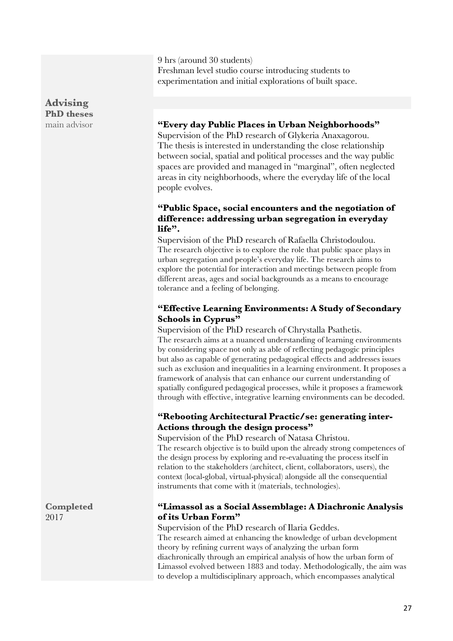9 hrs (around 30 students) Freshman level studio course introducing students to experimentation and initial explorations of built space.

## **Advising PhD theses**

#### main advisor **"Every day Public Places in Urban Neighborhoods"**

Supervision of the PhD research of Glykeria Anaxagorou. The thesis is interested in understanding the close relationship between social, spatial and political processes and the way public spaces are provided and managed in "marginal", often neglected areas in city neighborhoods, where the everyday life of the local people evolves.

#### **"Public Space, social encounters and the negotiation of difference: addressing urban segregation in everyday life".**

Supervision of the PhD research of Rafaella Christodoulou. The research objective is to explore the role that public space plays in urban segregation and people's everyday life. The research aims to explore the potential for interaction and meetings between people from different areas, ages and social backgrounds as a means to encourage tolerance and a feeling of belonging.

## **"Effective Learning Environments: A Study of Secondary Schools in Cyprus"**

Supervision of the PhD research of Chrystalla Psathetis. The research aims at a nuanced understanding of learning environments by considering space not only as able of reflecting pedagogic principles but also as capable of generating pedagogical effects and addresses issues such as exclusion and inequalities in a learning environment. It proposes a framework of analysis that can enhance our current understanding of spatially configured pedagogical processes, while it proposes a framework through with effective, integrative learning environments can be decoded.

## **"Rebooting Architectural Practic/se: generating inter-Actions through the design process"**

Supervision of the PhD research of Natasa Christou. The research objective is to build upon the already strong competences of the design process by exploring and re-evaluating the process itself in relation to the stakeholders (architect, client, collaborators, users), the context (local-global, virtual-physical) alongside all the consequential instruments that come with it (materials, technologies).

## **"Limassol as a Social Assemblage: A Diachronic Analysis of its Urban Form"**

Supervision of the PhD research of Ilaria Geddes. The research aimed at enhancing the knowledge of urban development theory by refining current ways of analyzing the urban form diachronically through an empirical analysis of how the urban form of Limassol evolved between 1883 and today. Methodologically, the aim was to develop a multidisciplinary approach, which encompasses analytical

**Completed** 2017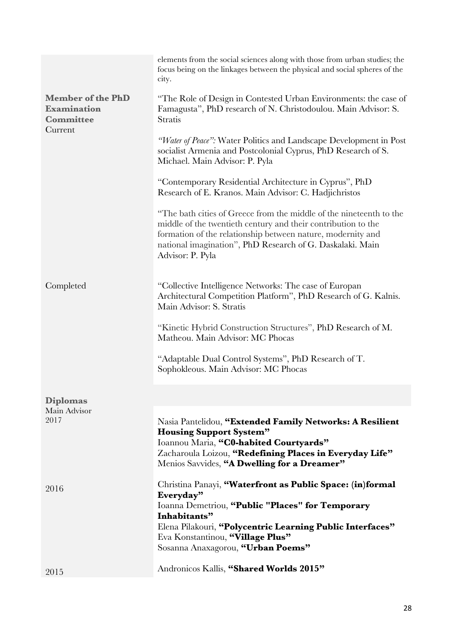|                                                                               | elements from the social sciences along with those from urban studies; the<br>focus being on the linkages between the physical and social spheres of the<br>city.                                                                                                                    |
|-------------------------------------------------------------------------------|--------------------------------------------------------------------------------------------------------------------------------------------------------------------------------------------------------------------------------------------------------------------------------------|
| <b>Member of the PhD</b><br><b>Examination</b><br><b>Committee</b><br>Current | "The Role of Design in Contested Urban Environments: the case of<br>Famagusta", PhD research of N. Christodoulou. Main Advisor: S.<br>Stratis                                                                                                                                        |
|                                                                               | "Water of Peace": Water Politics and Landscape Development in Post<br>socialist Armenia and Postcolonial Cyprus, PhD Research of S.<br>Michael. Main Advisor: P. Pyla                                                                                                                |
|                                                                               | "Contemporary Residential Architecture in Cyprus", PhD<br>Research of E. Kranos. Main Advisor: C. Hadjichristos                                                                                                                                                                      |
|                                                                               | "The bath cities of Greece from the middle of the nineteenth to the<br>middle of the twentieth century and their contribution to the<br>formation of the relationship between nature, modernity and<br>national imagination", PhD Research of G. Daskalaki. Main<br>Advisor: P. Pyla |
| Completed                                                                     | "Collective Intelligence Networks: The case of Europan<br>Architectural Competition Platform", PhD Research of G. Kalnis.<br>Main Advisor: S. Stratis                                                                                                                                |
|                                                                               | "Kinetic Hybrid Construction Structures", PhD Research of M.<br>Matheou. Main Advisor: MC Phocas                                                                                                                                                                                     |
|                                                                               | "Adaptable Dual Control Systems", PhD Research of T.<br>Sophokleous. Main Advisor: MC Phocas                                                                                                                                                                                         |
| <b>Diplomas</b>                                                               |                                                                                                                                                                                                                                                                                      |
| Main Advisor<br>2017                                                          | Nasia Pantelidou, "Extended Family Networks: A Resilient<br><b>Housing Support System"</b><br>Ioannou Maria, "C0-habited Courtyards"<br>Zacharoula Loizou, "Redefining Places in Everyday Life"<br>Menios Savvides, "A Dwelling for a Dreamer"                                       |
| 2016                                                                          | Christina Panayi, "Waterfront as Public Space: (in)formal<br>Everyday"<br>Ioanna Demetriou, "Public "Places" for Temporary<br>Inhabitants"<br>Elena Pilakouri, "Polycentric Learning Public Interfaces"<br>Eva Konstantinou, "Village Plus"<br>Sosanna Anaxagorou, "Urban Poems"     |
| 2015                                                                          | Andronicos Kallis, "Shared Worlds 2015"                                                                                                                                                                                                                                              |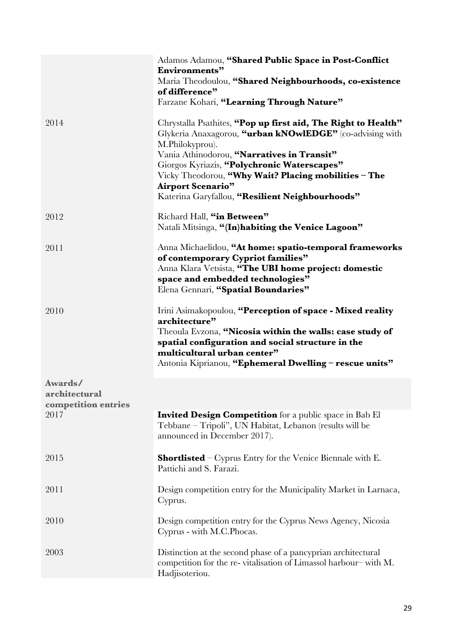|                                                 | Adamos Adamou, "Shared Public Space in Post-Conflict<br><b>Environments</b> "<br>Maria Theodoulou, "Shared Neighbourhoods, co-existence<br>of difference"<br>Farzane Kohari, "Learning Through Nature"                                                                                                                                                                           |
|-------------------------------------------------|----------------------------------------------------------------------------------------------------------------------------------------------------------------------------------------------------------------------------------------------------------------------------------------------------------------------------------------------------------------------------------|
| 2014                                            | Chrystalla Psathites, "Pop up first aid, The Right to Health"<br>Glykeria Anaxagorou, "urban kNOwlEDGE" (co-advising with<br>M.Philokyprou).<br>Vania Athinodorou, "Narratives in Transit"<br>Giorgos Kyriazis, "Polychronic Waterscapes"<br>Vicky Theodorou, "Why Wait? Placing mobilities - The<br><b>Airport Scenario"</b><br>Katerina Garyfallou, "Resilient Neighbourhoods" |
| 2012                                            | Richard Hall, "in Between"<br>Natali Mitsinga, "(In)habiting the Venice Lagoon"                                                                                                                                                                                                                                                                                                  |
| 2011                                            | Anna Michaelidou, "At home: spatio-temporal frameworks<br>of contemporary Cypriot families"<br>Anna Klara Vetsista, "The UBI home project: domestic<br>space and embedded technologies"<br>Elena Gennari, "Spatial Boundaries"                                                                                                                                                   |
| 2010                                            | Irini Asimakopoulou, "Perception of space - Mixed reality<br>architecture"<br>Theoula Evzona, "Nicosia within the walls: case study of<br>spatial configuration and social structure in the<br>multicultural urban center"<br>Antonia Kiprianou, "Ephemeral Dwelling - rescue units"                                                                                             |
| Awards/<br>architectural<br>competition entries |                                                                                                                                                                                                                                                                                                                                                                                  |
| 2017                                            | <b>Invited Design Competition</b> for a public space in Bab El<br>Tebbane – Tripoli", UN Habitat, Lebanon (results will be<br>announced in December 2017).                                                                                                                                                                                                                       |
| 2015                                            | <b>Shortlisted</b> – Cyprus Entry for the Venice Biennale with E.<br>Pattichi and S. Farazi.                                                                                                                                                                                                                                                                                     |
| 2011                                            | Design competition entry for the Municipality Market in Larnaca,<br>Cyprus.                                                                                                                                                                                                                                                                                                      |
| 2010                                            | Design competition entry for the Cyprus News Agency, Nicosia<br>Cyprus - with M.C.Phocas.                                                                                                                                                                                                                                                                                        |
| 2003                                            | Distinction at the second phase of a pancyprian architectural<br>competition for the re-vitalisation of Limassol harbour-with M.<br>Hadjisoteriou.                                                                                                                                                                                                                               |